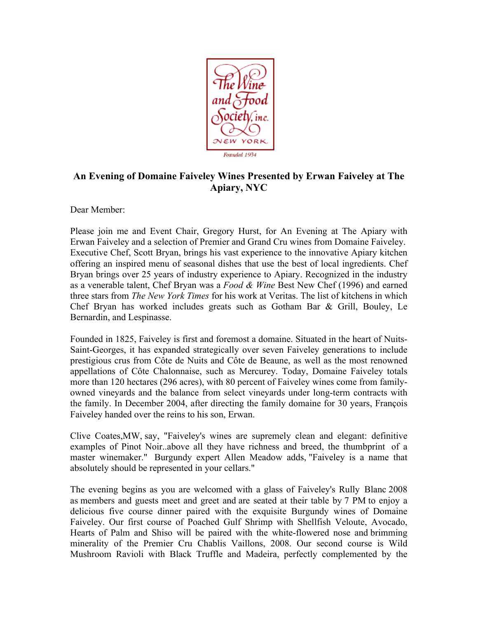

## **An Evening of Domaine Faiveley Wines Presented by Erwan Faiveley at The Apiary, NYC**

Dear Member:

Please join me and Event Chair, Gregory Hurst, for An Evening at The Apiary with Erwan Faiveley and a selection of Premier and Grand Cru wines from Domaine Faiveley. Executive Chef, Scott Bryan, brings his vast experience to the innovative Apiary kitchen offering an inspired menu of seasonal dishes that use the best of local ingredients. Chef Bryan brings over 25 years of industry experience to Apiary. Recognized in the industry as a venerable talent, Chef Bryan was a *Food & Wine* Best New Chef (1996) and earned three stars from *The New York Times* for his work at Veritas. The list of kitchens in which Chef Bryan has worked includes greats such as Gotham Bar & Grill, Bouley, Le Bernardin, and Lespinasse.

Founded in 1825, Faiveley is first and foremost a domaine. Situated in the heart of Nuits-Saint-Georges, it has expanded strategically over seven Faiveley generations to include prestigious crus from Côte de Nuits and Côte de Beaune, as well as the most renowned appellations of Côte Chalonnaise, such as Mercurey. Today, Domaine Faiveley totals more than 120 hectares (296 acres), with 80 percent of Faiveley wines come from familyowned vineyards and the balance from select vineyards under long-term contracts with the family. In December 2004, after directing the family domaine for 30 years, François Faiveley handed over the reins to his son, Erwan.

Clive Coates,MW, say, "Faiveley's wines are supremely clean and elegant: definitive examples of Pinot Noir..above all they have richness and breed, the thumbprint of a master winemaker." Burgundy expert Allen Meadow adds, "Faiveley is a name that absolutely should be represented in your cellars."

The evening begins as you are welcomed with a glass of Faiveley's Rully Blanc 2008 as members and guests meet and greet and are seated at their table by 7 PM to enjoy a delicious five course dinner paired with the exquisite Burgundy wines of Domaine Faiveley. Our first course of Poached Gulf Shrimp with Shellfish Veloute, Avocado, Hearts of Palm and Shiso will be paired with the white-flowered nose and brimming minerality of the Premier Cru Chablis Vaillons, 2008. Our second course is Wild Mushroom Ravioli with Black Truffle and Madeira, perfectly complemented by the